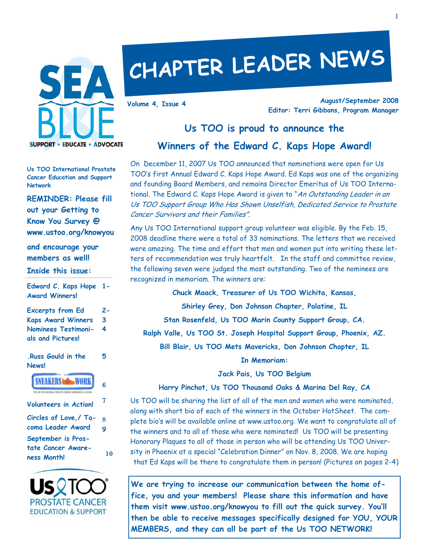

# **CHAPTER LEADER NEWS**

**August/September 2008 Editor: Terri Gibbons, Program Manager Volume 4, Issue 4** 

# **Us TOO is proud to announce the**

**Winners of the Edward C. Kaps Hope Award!** 

On December 11, 2007 Us TOO announced that nominations were open for Us TOO's first Annual Edward C. Kaps Hope Award. Ed Kaps was one of the organizing and founding Board Members, and remains Director Emeritus of Us TOO International. The Edward C. Kaps Hope Award is given to "An Outstanding Leader in an Us TOO Support Group Who Has Shown Unselfish, Dedicated Service to Prostate Cancer Survivors and their Families".

Any Us TOO International support group volunteer was eligible. By the Feb. 15, 2008 deadline there were a total of 33 nominations. The letters that we received were amazing. The time and effort that men and women put into writing these letters of recommendation was truly heartfelt. In the staff and committee review, the following seven were judged the most outstanding. Two of the nominees are recognized in memoriam. The winners are:

**Chuck Maack, Treasurer of Us TOO Wichita, Kansas,** 

**Shirley Grey, Don Johnson Chapter, Palatine, IL** 

**Stan Rosenfeld, Us TOO Marin County Support Group, CA.** 

**Ralph Valle, Us TOO St. Joseph Hospital Support Group, Phoenix, AZ.** 

**Bill Blair, Us TOO Mets Mavericks, Don Johnson Chapter, IL** 

**In Memoriam:** 

**Jack Pais, Us TOO Belgium** 

**Harry Pinchot, Us TOO Thousand Oaks & Marina Del Ray, CA** 

Us TOO will be sharing the list of all of the men and women who were nominated, along with short bio of each of the winners in the October HotSheet. The complete bio's will be available online at www.ustoo.org. We want to congratulate all of the winners and to all of those who were nominated! Us TOO will be presenting Honorary Plaques to all of those in person who will be attending Us TOO University in Phoenix at a special "Celebration Dinner" on Nov. 8, 2008. We are hoping that Ed Kaps will be there to congratulate them in person! (Pictures on pages 2-4)

**We are trying to increase our communication between the home office, you and your members! Please share this information and have them visit www.ustoo.org/knowyou to fill out the quick survey. You'll then be able to receive messages specifically designed for YOU, YOUR MEMBERS, and they can all be part of the Us TOO NETWORK!** 

**Us TOO International Prostate Cancer Education and Support Network** 

**REMINDER: Please fill out your Getting to Know You Survey @ www.ustoo.org/knowyou** 

**Inside this issue: and encourage your members as well!** 

**Edward C. Kaps Hope 1- Award Winners!** 

| <b>Excerpts from Ed</b>   | 2- |
|---------------------------|----|
| <b>Kaps Award Winners</b> | 3  |
| Nominees Testimoni-       | 4  |
| als and Pictures!         |    |

**.Russ Gould in the News!** 

**5** 

**6** 

**7** 



**Volunteers in Action!** 

| Circles of Love,/ Ta- | $\overline{\mathbf{R}}$ |
|-----------------------|-------------------------|
| coma Leader Award     | ٥                       |
| September is Pros-    |                         |
| tate Cancer Aware-    |                         |
| ness Month!           | 10                      |

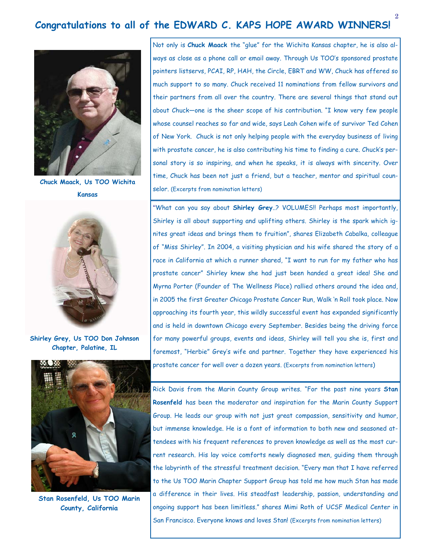# **Congratulations to all of the EDWARD C. KAPS HOPE AWARD WINNERS!**



**Chuck Maack, Us TOO Wichita Kansas** 



**Shirley Grey, Us TOO Don Johnson Chapter, Palatine, IL** 



**Stan Rosenfeld, Us TOO Marin County, California** 

Not only is **Chuck Maack** the "glue" for the Wichita Kansas chapter, he is also always as close as a phone call or email away. Through Us TOO's sponsored prostate pointers listservs, PCAI, RP, HAH, the Circle, EBRT and WW, Chuck has offered so much support to so many. Chuck received 11 nominations from fellow survivors and their partners from all over the country. There are several things that stand out about Chuck—one is the sheer scope of his contribution. "I know very few people whose counsel reaches so far and wide, says Leah Cohen wife of survivor Ted Cohen of New York. Chuck is not only helping people with the everyday business of living with prostate cancer, he is also contributing his time to finding a cure. Chuck's personal story is so inspiring, and when he speaks, it is always with sincerity. Over time, Chuck has been not just a friend, but a teacher, mentor and spiritual counselor. (Excerpts from nomination letters)

2

"What can you say about **Shirley Grey**..? VOLUMES!! Perhaps most importantly, Shirley is all about supporting and uplifting others. Shirley is the spark which ignites great ideas and brings them to fruition", shares Elizabeth Cabalka, colleague of "Miss Shirley". In 2004, a visiting physician and his wife shared the story of a race in California at which a runner shared, "I want to run for my father who has prostate cancer" Shirley knew she had just been handed a great idea! She and Myrna Porter (Founder of The Wellness Place) rallied others around the idea and, in 2005 the first Greater Chicago Prostate Cancer Run, Walk 'n Roll took place. Now approaching its fourth year, this wildly successful event has expanded significantly and is held in downtown Chicago every September. Besides being the driving force for many powerful groups, events and ideas, Shirley will tell you she is, first and foremost, "Herbie" Grey's wife and partner. Together they have experienced his prostate cancer for well over a dozen years. (Excerpts from nomination letters)

Rick Davis from the Marin County Group writes. "For the past nine years **Stan Rosenfeld** has been the moderator and inspiration for the Marin County Support Group. He leads our group with not just great compassion, sensitivity and humor, but immense knowledge. He is a font of information to both new and seasoned attendees with his frequent references to proven knowledge as well as the most current research. His lay voice comforts newly diagnosed men, guiding them through the labyrinth of the stressful treatment decision. "Every man that I have referred to the Us TOO Marin Chapter Support Group has told me how much Stan has made a difference in their lives. His steadfast leadership, passion, understanding and ongoing support has been limitless." shares Mimi Roth of UCSF Medical Center in San Francisco. Everyone knows and loves Stan! (Excerpts from nomination letters)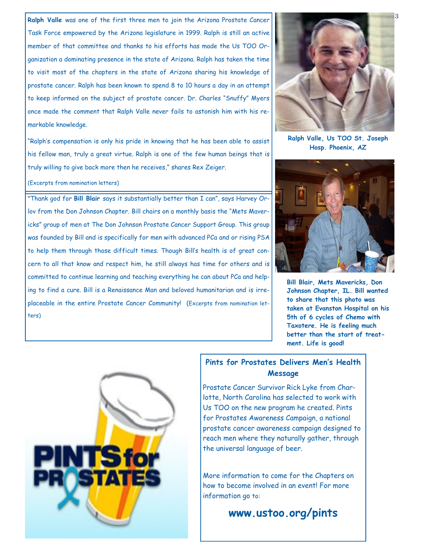Ralph Valle was one of the first three men to join the Arizona Prostate Cancer Task Force empowered by the Arizona legislature in 1999. Ralph is still an active member of that committee and thanks to his efforts has made the Us TOO Organization a dominating presence in the state of Arizona. Ralph has taken the time to visit most of the chapters in the state of Arizona sharing his knowledge of prostate cancer. Ralph has been known to spend 8 to 10 hours a day in an attempt to keep informed on the subject of prostate cancer. Dr. Charles "Snuffy" Myers once made the comment that Ralph Valle never fails to astonish him with his remarkable knowledge.

"Ralph's compensation is only his pride in knowing that he has been able to assist his fellow man, truly a great virtue. Ralph is one of the few human beings that is truly willing to give back more then he receives," shares Rex Zeiger.

(Excerpts from nomination letters)

"Thank god for **Bill Blair** says it substantially better than I can", says Harvey Orlov from the Don Johnson Chapter. Bill chairs on a monthly basis the "Mets Mavericks" group of men at The Don Johnson Prostate Cancer Support Group. This group was founded by Bill and is specifically for men with advanced PCa and or rising PSA to help them through those difficult times. Though Bill's health is of great concern to all that know and respect him, he still always has time for others and is committed to continue learning and teaching everything he can about PCa and helping to find a cure. Bill is a Renaissance Man and beloved humanitarian and is irreplaceable in the entire Prostate Cancer Community! (Excerpts from nomination letters)



**Ralph Valle, Us TOO St. Joseph Hosp. Phoenix, AZ** 



**Bill Blair, Mets Mavericks, Don Johnson Chapter, IL. Bill wanted to share that this photo was taken at Evanston Hospital on his 5th of 6 cycles of Chemo with Taxotere. He is feeling much better than the start of treatment. Life is good!**



## **Pints for Prostates Delivers Men's Health Message**

Prostate Cancer Survivor Rick Lyke from Charlotte, North Carolina has selected to work with Us TOO on the new program he created. Pints for Prostates Awareness Campaign, a national prostate cancer awareness campaign designed to reach men where they naturally gather, through the universal language of beer.

More information to come for the Chapters on how to become involved in an event! For more information go to:

**www.ustoo.org/pints**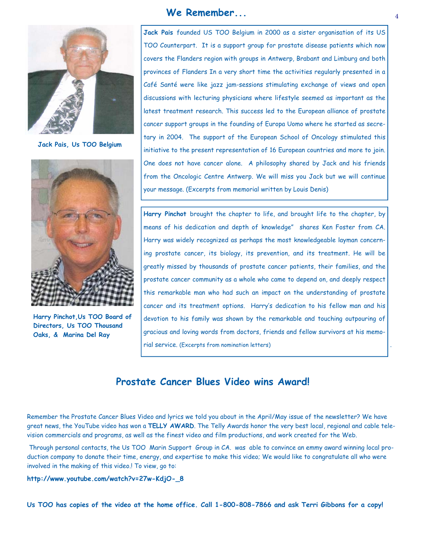

**Jack Pais, Us TOO Belgium** 



**Harry Pinchot,Us TOO Board of Directors, Us TOO Thousand Oaks, & Marina Del Ray** 

## **We Remember...**

**Jack Pais** founded US TOO Belgium in 2000 as a sister organisation of its US TOO Counterpart. It is a support group for prostate disease patients which now covers the Flanders region with groups in Antwerp, Brabant and Limburg and both provinces of Flanders In a very short time the activities regularly presented in a Café Santé were like jazz jam-sessions stimulating exchange of views and open discussions with lecturing physicians where lifestyle seemed as important as the latest treatment research. This success led to the European alliance of prostate cancer support groups in the founding of Europa Uomo where he started as secretary in 2004. The support of the European School of Oncology stimulated this initiative to the present representation of 16 European countries and more to join. One does not have cancer alone. A philosophy shared by Jack and his friends from the Oncologic Centre Antwerp. We will miss you Jack but we will continue your message. (Excerpts from memorial written by Louis Denis)

**Harry Pinchot** brought the chapter to life, and brought life to the chapter, by means of his dedication and depth of knowledge" shares Ken Foster from CA. Harry was widely recognized as perhaps the most knowledgeable layman concerning prostate cancer, its biology, its prevention, and its treatment. He will be greatly missed by thousands of prostate cancer patients, their families, and the prostate cancer community as a whole who came to depend on, and deeply respect this remarkable man who had such an impact on the understanding of prostate cancer and its treatment options. Harry's dedication to his fellow man and his devotion to his family was shown by the remarkable and touching outpouring of gracious and loving words from doctors, friends and fellow survivors at his memorial service. (Excerpts from nomination letters)

## **Prostate Cancer Blues Video wins Award!**

Remember the Prostate Cancer Blues Video and lyrics we told you about in the April/May issue of the newsletter? We have great news, the YouTube video has won a **TELLY AWARD**. The Telly Awards honor the very best local, regional and cable television commercials and programs, as well as the finest video and film productions, and work created for the Web.

 Through personal contacts, the Us TOO Marin Support Group in CA. was able to convince an emmy award winning local production company to donate their time, energy, and expertise to make this video; We would like to congratulate all who were involved in the making of this video.! To view, go to:

**http://www.youtube.com/watch?v=27w-KdjO-\_8** 

**Us TOO has copies of the video at the home office. Call 1-800-808-7866 and ask Terri Gibbons for a copy!** 

.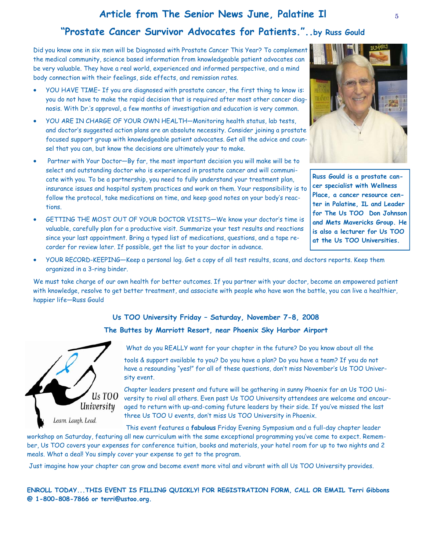## **Article from The Senior News June, Palatine Il**

# **"Prostate Cancer Survivor Advocates for Patients."..by Russ Gould**

Did you know one in six men will be Diagnosed with Prostate Cancer This Year? To complement the medical community, science based information from knowledgeable patient advocates can be very valuable. They have a real world, experienced and informed perspective, and a mind body connection with their feelings, side effects, and remission rates.

- YOU HAVE TIME– If you are diagnosed with prostate cancer, the first thing to know is: you do not have to make the rapid decision that is required after most other cancer diagnosis. With Dr.'s approval, a few months of investigation and education is very common.
- YOU ARE IN CHARGE OF YOUR OWN HEALTH—Monitoring health status, lab tests, and doctor's suggested action plans are an absolute necessity. Consider joining a prostate focused support group with knowledgeable patient advocates. Get all the advice and counsel that you can, but know the decisions are ultimately your to make.
- Partner with Your Doctor—By far, the most important decision you will make will be to select and outstanding doctor who is experienced in prostate cancer and will communicate with you. To be a partnership, you need to fully understand your treatment plan, insurance issues and hospital system practices and work on them. Your responsibility is to follow the protocol, take medications on time, and keep good notes on your body's reactions.
- GETTING THE MOST OUT OF YOUR DOCTOR VISITS—We know your doctor's time is valuable, carefully plan for a productive visit. Summarize your test results and reactions since your last appointment. Bring a typed list of medications, questions, and a tape recorder for review later. If possible, get the list to your doctor in advance.



**Russ Gould is a prostate cancer specialist with Wellness Place, a cancer resource center in Palatine, IL and Leader for The Us TOO Don Johnson and Mets Mavericks Group. He is also a lecturer for Us TOO at the Us TOO Universities.** 

• YOUR RECORD-KEEPING—Keep a personal log. Get a copy of all test results, scans, and doctors reports. Keep them organized in a 3-ring binder.

We must take charge of our own health for better outcomes. If you partner with your doctor, become an empowered patient with knowledge, resolve to get better treatment, and associate with people who have won the battle, you can live a healthier, happier life—Russ Gould

#### **Us TOO University Friday – Saturday, November 7-8, 2008**

**The Buttes by Marriott Resort, near Phoenix Sky Harbor Airport**



What do you REALLY want for your chapter in the future? Do you know about all the

tools & support available to you? Do you have a plan? Do you have a team? If you do not have a resounding "yes!" for all of these questions, don't miss November's Us TOO University event.

Chapter leaders present and future will be gathering in sunny Phoenix for an Us TOO University to rival all others. Even past Us TOO University attendees are welcome and encouraged to return with up-and-coming future leaders by their side. If you've missed the last three Us TOO U events, don't miss Us TOO University in Phoenix.

This event features a **fabulous** Friday Evening Symposium and a full-day chapter leader

workshop on Saturday, featuring all new curriculum with the same exceptional programming you've come to expect. Remember, Us TOO covers your expenses for conference tuition, books and materials, your hotel room for up to two nights and 2 meals. What a deal! You simply cover your expense to get to the program.

Just imagine how your chapter can grow and become event more vital and vibrant with all Us TOO University provides.

**ENROLL TODAY...THIS EVENT IS FILLING QUICKLY! FOR REGISTRATION FORM, CALL OR EMAIL Terri Gibbons @ 1-800-808-7866 or terri@ustoo.org.**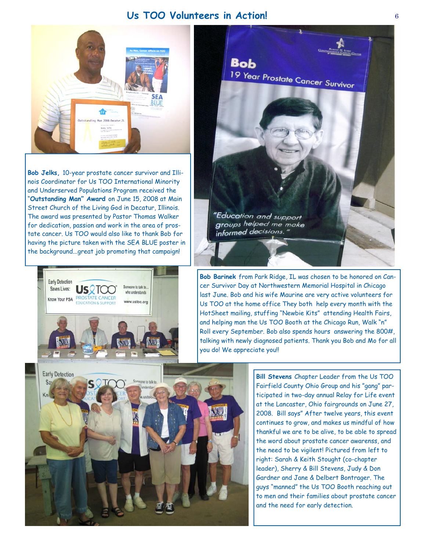## **Us TOO Volunteers in Action!**



**Bob Jelks,** 10-year prostate cancer survivor and Illinois Coordinator for Us TOO International Minority and Underserved Populations Program received the "**Outstanding Man" Award** on June 15, 2008 at Main Street Church of the Living God in Decatur, Illinois. The award was presented by Pastor Thomas Walker for dedication, passion and work in the area of prostate cancer. Us TOO would also like to thank Bob for having the picture taken with the SEA BLUE poster in the background...great job promoting that campaign!





**Bob Barinek** from Park Ridge, IL was chosen to be honored on Cancer Survivor Day at Northwestern Memorial Hospital in Chicago last June. Bob and his wife Maurine are very active volunteers for Us TOO at the home office They both help every month with the HotSheet mailing, stuffing "Newbie Kits" attending Health Fairs, and helping man the Us TOO Booth at the Chicago Run, Walk "n" Roll every September. Bob also spends hours answering the 800#, talking with newly diagnosed patients. Thank you Bob and Mo for all you do! We appreciate you!!



**Bill Stevens** Chapter Leader from the Us TOO Fairfield County Ohio Group and his "gang" participated in two-day annual Relay for Life event at the Lancaster, Ohio fairgrounds on June 27, 2008. Bill says" After twelve years, this event continues to grow, and makes us mindful of how thankful we are to be alive, to be able to spread the word about prostate cancer awarenss, and the need to be vigilent! Pictured from left to right: Sarah & Keith Stought (co-chapter leader), Sherry & Bill Stevens, Judy & Don Gardner and Jane & Delbert Bontrager. The guys "manned" the Us TOO Booth reaching out to men and their families about prostate cancer and the need for early detection.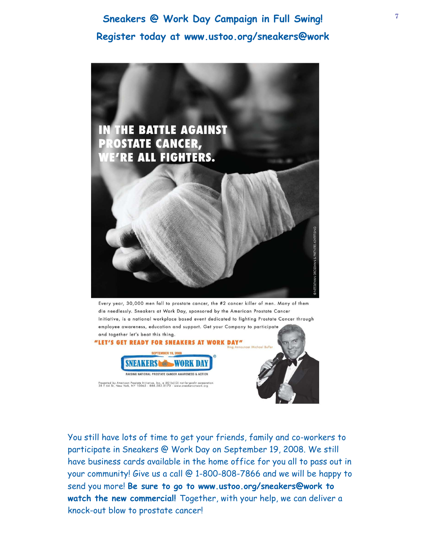# <sup>7</sup>**Sneakers @ Work Day Campaign in Full Swing! Register today at www.ustoo.org/sneakers@work**



Every year, 30,000 men fall to prostate cancer, the #2 cancer killer of men. Many of them die needlessly. Sneakers at Work Day, sponsored by the American Prostate Cancer Initiative, is a national workplace based event dedicated to fighting Prostate Cancer through employee awareness, education and support. Get your Company to participate and together let's beat this thing. "LET'S GET READY FOR SNEAKERS AT WORK DAY"

**SNEAKERS CO WORK DAY** .<br>RAISING NATIONAL PROSTATE CANCER AWARENESS & ACTIO Presented by American Prostate Initiative, Inc. a 501(c)(3) not-for-profit corporal and St. New York, NY 10065 - 888 582 0173 - www.sneakersatwork.org



You still have lots of time to get your friends, family and co-workers to participate in Sneakers @ Work Day on September 19, 2008. We still have business cards available in the home office for you all to pass out in your community! Give us a call @ 1-800-808-7866 and we will be happy to send you more! **Be sure to go to www.ustoo.org/sneakers@work to watch the new commercial!** Together, with your help, we can deliver a knock-out blow to prostate cancer!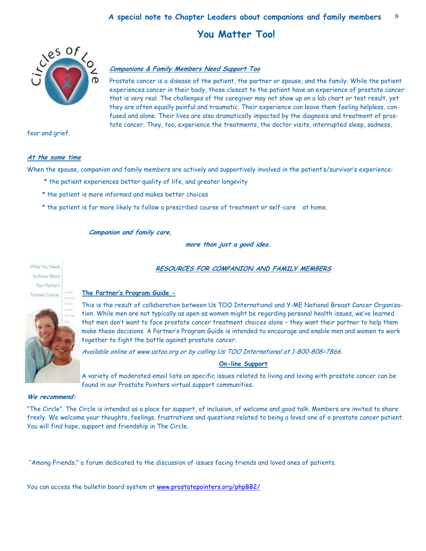#### 8 **A special note to Chapter Leaders about companions and family members**

# **You Matter Too!**



#### **Companions & Family Members Need Support Too**

Prostate cancer is a disease of the patient, the partner or spouse, and the family. While the patient experiences cancer in their body, those closest to the patient have an experience of prostate cancer that is very real. The challenges of the caregiver may not show up on a lab chart or test result, yet they are often equally painful and traumatic. Their experience can leave them feeling helpless, confused and alone. Their lives are also dramatically impacted by the diagnosis and treatment of prostate cancer. They, too, experience the treatments, the doctor visits, interrupted sleep, sadness,

fear and grief.

#### **At the same time**

When the spouse, companion and family members are actively and supportively involved in the patient's/survivor's experience:

- \* the patient experiences better quality of life, and greater longevity
- \* the patient is more informed and makes better choices
- \* the patient is far more likely to follow a prescribed course of treatment or self-care at home.

#### **Companion and family care,**

**The Partner's Program Guide -**

 **more than just a good idea.**

What You Need to Know About Your Partner's Prostate Cancer.



This is the result of collaboration between Us TOO International and Y-ME National Breast Cancer Organization. While men are not typically as open as women might be regarding personal health issues, we've learned that men don't want to face prostate cancer treatment choices alone – they want their partner to help them make these decisions. A Partner's Program Guide is intended to encourage and enable men and women to work together to fight the battle against prostate cancer.

**RESOURCES FOR COMPANION AND FAMILY MEMBERS**

Available online at www.ustoo.org or by calling Us TOO International at 1-800-808=7866.

#### **On-line Support**

A variety of moderated email lists on specific issues related to living and loving with prostate cancer can be found in our Prostate Pointers virtual support communities.

#### **We recommend:**

"The Circle". The Circle is intended as a place for support, of inclusion, of welcome and good talk. Members are invited to share freely. We welcome your thoughts, feelings, frustrations and questions related to being a loved one of a prostate cancer patient. You will find hope, support and friendship in The Circle.

"Among Friends," a forum dedicated to the discussion of issues facing friends and loved ones of patients.

You can access the bulletin board system at www.prostatepointers.org/phpBB2/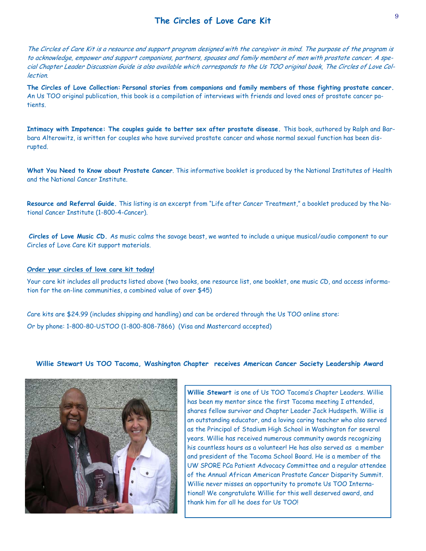## <sup>9</sup>**The Circles of Love Care Kit**

The Circles of Care Kit is a resource and support program designed with the caregiver in mind. The purpose of the program is to acknowledge, empower and support companions, partners, spouses and family members of men with prostate cancer. A special Chapter Leader Discussion Guide is also available which corresponds to the Us TOO original book, The Circles of Love Collection.

**The Circles of Love Collection: Personal stories from companions and family members of those fighting prostate cancer.**  An Us TOO original publication, this book is a compilation of interviews with friends and loved ones of prostate cancer patients.

**Intimacy with Impotence: The couples guide to better sex after prostate disease.** This book, authored by Ralph and Barbara Alterowitz, is written for couples who have survived prostate cancer and whose normal sexual function has been disrupted.

**What You Need to Know about Prostate Cancer**. This informative booklet is produced by the National Institutes of Health and the National Cancer Institute.

**Resource and Referral Guide.** This listing is an excerpt from "Life after Cancer Treatment," a booklet produced by the National Cancer Institute (1-800-4-Cancer).

**Circles of Love Music CD.** As music calms the savage beast, we wanted to include a unique musical/audio component to our Circles of Love Care Kit support materials.

#### **Order your circles of love care kit today!**

Your care kit includes all products listed above (two books, one resource list, one booklet, one music CD, and access information for the on-line communities, a combined value of over \$45)

Care kits are \$24.99 (includes shipping and handling) and can be ordered through the Us TOO online store: Or by phone: 1-800-80-USTOO (1-800-808-7866) (Visa and Mastercard accepted)

#### **Willie Stewart Us TOO Tacoma, Washington Chapter receives American Cancer Society Leadership Award**

**Willie Stewart** is one of Us TOO Tacoma's Chapter Leaders. Willie has been my mentor since the first Tacoma meeting I attended, shares fellow survivor and Chapter Leader Jack Hudspeth. Willie is an outstanding educator, and a loving caring teacher who also served as the Principal of Stadium High School in Washington for several years. Willie has received numerous community awards recognizing his countless hours as a volunteer! He has also served as a member and president of the Tacoma School Board. He is a member of the UW SPORE PCa Patient Advocacy Committee and a regular attendee of the Annual African American Prostate Cancer Disparity Summit. Willie never misses an opportunity to promote Us TOO International! We congratulate Willie for this well deserved award, and thank him for all he does for Us TOO!